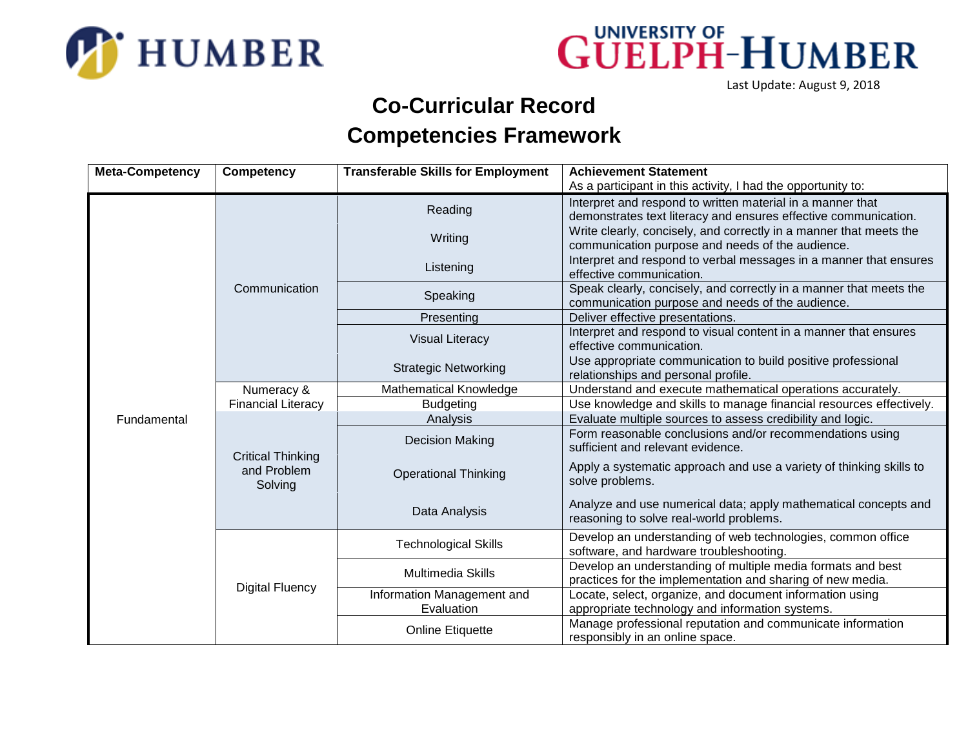



Last Update: August 9, 2018

## **Co-Curricular Record Competencies Framework**

| <b>Meta-Competency</b> | <b>Competency</b>                                  | <b>Transferable Skills for Employment</b> | <b>Achievement Statement</b>                                                                                                  |
|------------------------|----------------------------------------------------|-------------------------------------------|-------------------------------------------------------------------------------------------------------------------------------|
|                        |                                                    |                                           | As a participant in this activity, I had the opportunity to:                                                                  |
|                        | Communication                                      | Reading                                   | Interpret and respond to written material in a manner that<br>demonstrates text literacy and ensures effective communication. |
|                        |                                                    | Writing                                   | Write clearly, concisely, and correctly in a manner that meets the<br>communication purpose and needs of the audience.        |
|                        |                                                    | Listening                                 | Interpret and respond to verbal messages in a manner that ensures<br>effective communication.                                 |
|                        |                                                    | Speaking                                  | Speak clearly, concisely, and correctly in a manner that meets the<br>communication purpose and needs of the audience.        |
|                        |                                                    | Presenting                                | Deliver effective presentations.                                                                                              |
|                        |                                                    | <b>Visual Literacy</b>                    | Interpret and respond to visual content in a manner that ensures<br>effective communication.                                  |
|                        |                                                    | <b>Strategic Networking</b>               | Use appropriate communication to build positive professional<br>relationships and personal profile.                           |
|                        | Numeracy &                                         | Mathematical Knowledge                    | Understand and execute mathematical operations accurately.                                                                    |
|                        | <b>Financial Literacy</b>                          | <b>Budgeting</b>                          | Use knowledge and skills to manage financial resources effectively.                                                           |
| Fundamental            |                                                    | Analysis                                  | Evaluate multiple sources to assess credibility and logic.                                                                    |
|                        | <b>Critical Thinking</b><br>and Problem<br>Solving | <b>Decision Making</b>                    | Form reasonable conclusions and/or recommendations using<br>sufficient and relevant evidence.                                 |
|                        |                                                    | <b>Operational Thinking</b>               | Apply a systematic approach and use a variety of thinking skills to<br>solve problems.                                        |
|                        |                                                    | Data Analysis                             | Analyze and use numerical data; apply mathematical concepts and<br>reasoning to solve real-world problems.                    |
|                        | <b>Digital Fluency</b>                             | <b>Technological Skills</b>               | Develop an understanding of web technologies, common office<br>software, and hardware troubleshooting.                        |
|                        |                                                    | Multimedia Skills                         | Develop an understanding of multiple media formats and best<br>practices for the implementation and sharing of new media.     |
|                        |                                                    | Information Management and<br>Evaluation  | Locate, select, organize, and document information using<br>appropriate technology and information systems.                   |
|                        |                                                    | <b>Online Etiquette</b>                   | Manage professional reputation and communicate information<br>responsibly in an online space.                                 |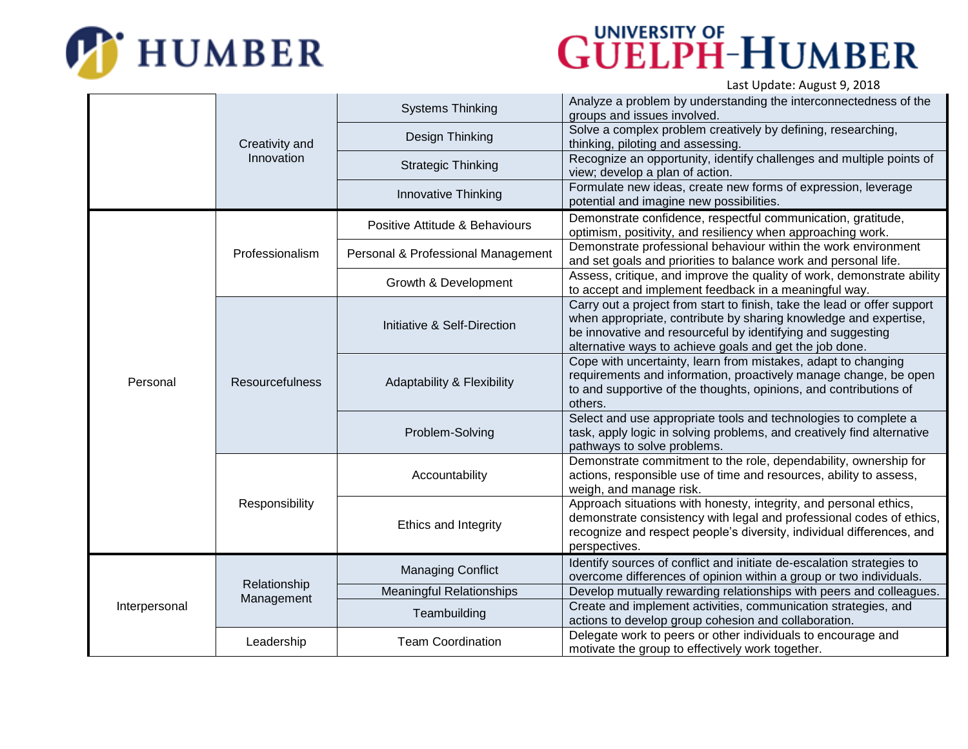

## **GÜELPH-HUMBER**  $I$  act Undato: August 0, 2019

|               |                              |                                       | Last Opuale. August 9, 2016                                                                                                                                                                                                                                            |
|---------------|------------------------------|---------------------------------------|------------------------------------------------------------------------------------------------------------------------------------------------------------------------------------------------------------------------------------------------------------------------|
|               | Creativity and<br>Innovation | <b>Systems Thinking</b>               | Analyze a problem by understanding the interconnectedness of the<br>groups and issues involved.                                                                                                                                                                        |
|               |                              | Design Thinking                       | Solve a complex problem creatively by defining, researching,<br>thinking, piloting and assessing.                                                                                                                                                                      |
|               |                              | <b>Strategic Thinking</b>             | Recognize an opportunity, identify challenges and multiple points of<br>view; develop a plan of action.                                                                                                                                                                |
|               |                              | Innovative Thinking                   | Formulate new ideas, create new forms of expression, leverage<br>potential and imagine new possibilities.                                                                                                                                                              |
| Personal      | Professionalism              | Positive Attitude & Behaviours        | Demonstrate confidence, respectful communication, gratitude,<br>optimism, positivity, and resiliency when approaching work.                                                                                                                                            |
|               |                              | Personal & Professional Management    | Demonstrate professional behaviour within the work environment<br>and set goals and priorities to balance work and personal life.                                                                                                                                      |
|               |                              | Growth & Development                  | Assess, critique, and improve the quality of work, demonstrate ability<br>to accept and implement feedback in a meaningful way.                                                                                                                                        |
|               | Resourcefulness              | Initiative & Self-Direction           | Carry out a project from start to finish, take the lead or offer support<br>when appropriate, contribute by sharing knowledge and expertise,<br>be innovative and resourceful by identifying and suggesting<br>alternative ways to achieve goals and get the job done. |
|               |                              | <b>Adaptability &amp; Flexibility</b> | Cope with uncertainty, learn from mistakes, adapt to changing<br>requirements and information, proactively manage change, be open<br>to and supportive of the thoughts, opinions, and contributions of<br>others.                                                      |
|               |                              | Problem-Solving                       | Select and use appropriate tools and technologies to complete a<br>task, apply logic in solving problems, and creatively find alternative<br>pathways to solve problems.                                                                                               |
|               | Responsibility               | Accountability                        | Demonstrate commitment to the role, dependability, ownership for<br>actions, responsible use of time and resources, ability to assess,<br>weigh, and manage risk.                                                                                                      |
|               |                              | Ethics and Integrity                  | Approach situations with honesty, integrity, and personal ethics,<br>demonstrate consistency with legal and professional codes of ethics,<br>recognize and respect people's diversity, individual differences, and<br>perspectives.                                    |
| Interpersonal | Relationship<br>Management   | <b>Managing Conflict</b>              | Identify sources of conflict and initiate de-escalation strategies to<br>overcome differences of opinion within a group or two individuals.                                                                                                                            |
|               |                              | <b>Meaningful Relationships</b>       | Develop mutually rewarding relationships with peers and colleagues.                                                                                                                                                                                                    |
|               |                              | Teambuilding                          | Create and implement activities, communication strategies, and<br>actions to develop group cohesion and collaboration.                                                                                                                                                 |
|               | Leadership                   | <b>Team Coordination</b>              | Delegate work to peers or other individuals to encourage and<br>motivate the group to effectively work together.                                                                                                                                                       |